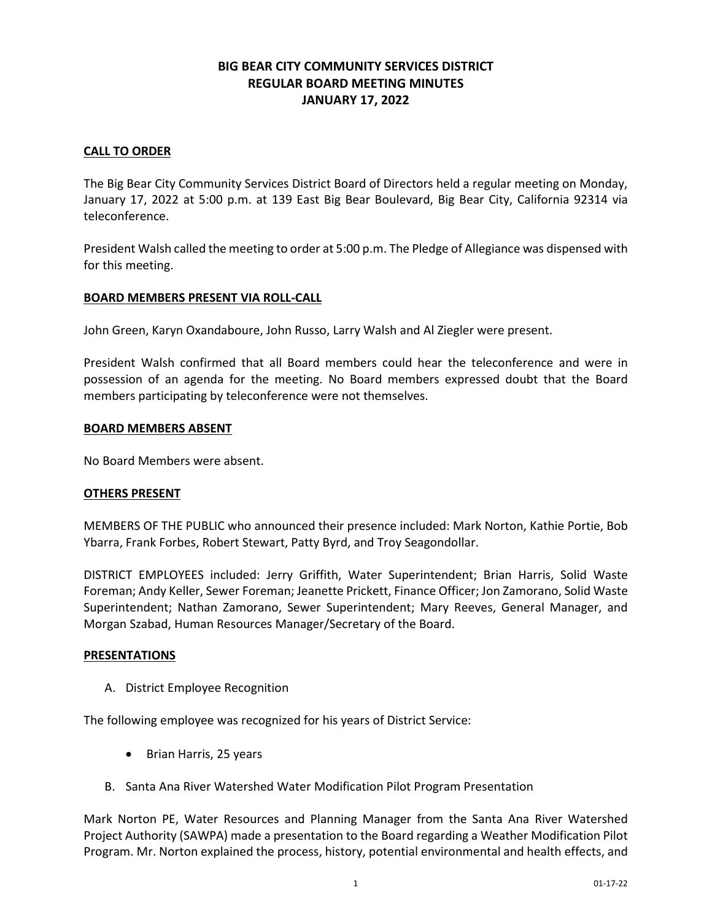# **BIG BEAR CITY COMMUNITY SERVICES DISTRICT REGULAR BOARD MEETING MINUTES JANUARY 17, 2022**

# **CALL TO ORDER**

The Big Bear City Community Services District Board of Directors held a regular meeting on Monday, January 17, 2022 at 5:00 p.m. at 139 East Big Bear Boulevard, Big Bear City, California 92314 via teleconference.

President Walsh called the meeting to order at 5:00 p.m. The Pledge of Allegiance was dispensed with for this meeting.

# **BOARD MEMBERS PRESENT VIA ROLL-CALL**

John Green, Karyn Oxandaboure, John Russo, Larry Walsh and Al Ziegler were present.

President Walsh confirmed that all Board members could hear the teleconference and were in possession of an agenda for the meeting. No Board members expressed doubt that the Board members participating by teleconference were not themselves.

#### **BOARD MEMBERS ABSENT**

No Board Members were absent.

#### **OTHERS PRESENT**

MEMBERS OF THE PUBLIC who announced their presence included: Mark Norton, Kathie Portie, Bob Ybarra, Frank Forbes, Robert Stewart, Patty Byrd, and Troy Seagondollar.

DISTRICT EMPLOYEES included: Jerry Griffith, Water Superintendent; Brian Harris, Solid Waste Foreman; Andy Keller, Sewer Foreman; Jeanette Prickett, Finance Officer; Jon Zamorano, Solid Waste Superintendent; Nathan Zamorano, Sewer Superintendent; Mary Reeves, General Manager, and Morgan Szabad, Human Resources Manager/Secretary of the Board.

#### **PRESENTATIONS**

A. District Employee Recognition

The following employee was recognized for his years of District Service:

- Brian Harris, 25 years
- B. Santa Ana River Watershed Water Modification Pilot Program Presentation

Mark Norton PE, Water Resources and Planning Manager from the Santa Ana River Watershed Project Authority (SAWPA) made a presentation to the Board regarding a Weather Modification Pilot Program. Mr. Norton explained the process, history, potential environmental and health effects, and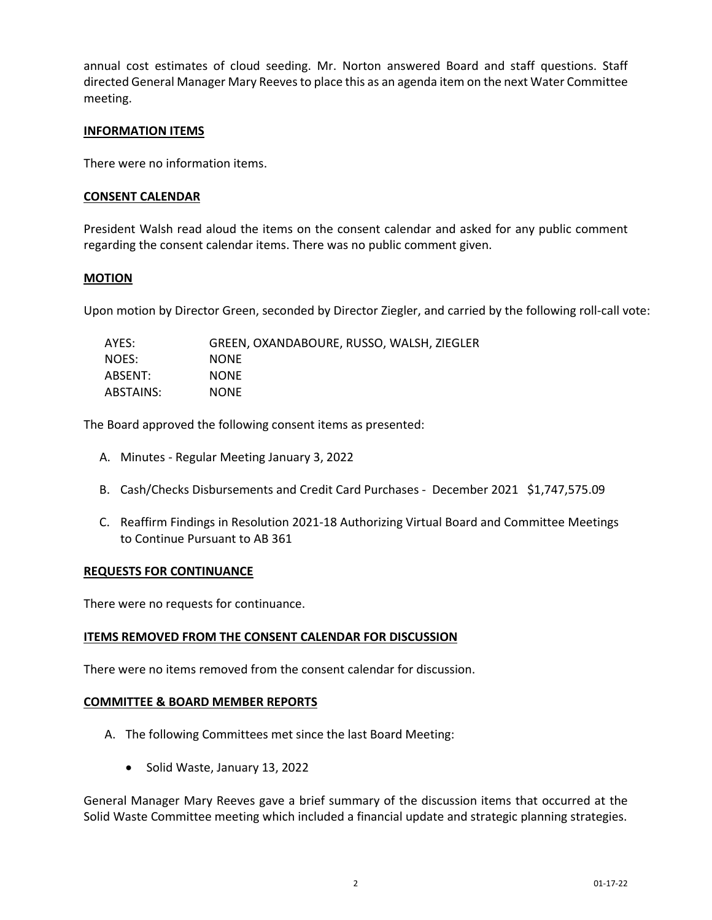annual cost estimates of cloud seeding. Mr. Norton answered Board and staff questions. Staff directed General Manager Mary Reeves to place this as an agenda item on the next Water Committee meeting.

## **INFORMATION ITEMS**

There were no information items.

## **CONSENT CALENDAR**

President Walsh read aloud the items on the consent calendar and asked for any public comment regarding the consent calendar items. There was no public comment given.

# **MOTION**

Upon motion by Director Green, seconded by Director Ziegler, and carried by the following roll-call vote:

| AYES:     | GREEN, OXANDABOURE, RUSSO, WALSH, ZIEGLER |
|-----------|-------------------------------------------|
| NOES:     | <b>NONE</b>                               |
| ABSENT:   | <b>NONE</b>                               |
| ABSTAINS: | <b>NONE</b>                               |

The Board approved the following consent items as presented:

- A. Minutes Regular Meeting January 3, 2022
- B. Cash/Checks Disbursements and Credit Card Purchases December 2021 \$1,747,575.09
- C. Reaffirm Findings in Resolution 2021-18 Authorizing Virtual Board and Committee Meetings to Continue Pursuant to AB 361

#### **REQUESTS FOR CONTINUANCE**

There were no requests for continuance.

#### **ITEMS REMOVED FROM THE CONSENT CALENDAR FOR DISCUSSION**

There were no items removed from the consent calendar for discussion.

#### **COMMITTEE & BOARD MEMBER REPORTS**

- A. The following Committees met since the last Board Meeting:
	- Solid Waste, January 13, 2022

General Manager Mary Reeves gave a brief summary of the discussion items that occurred at the Solid Waste Committee meeting which included a financial update and strategic planning strategies.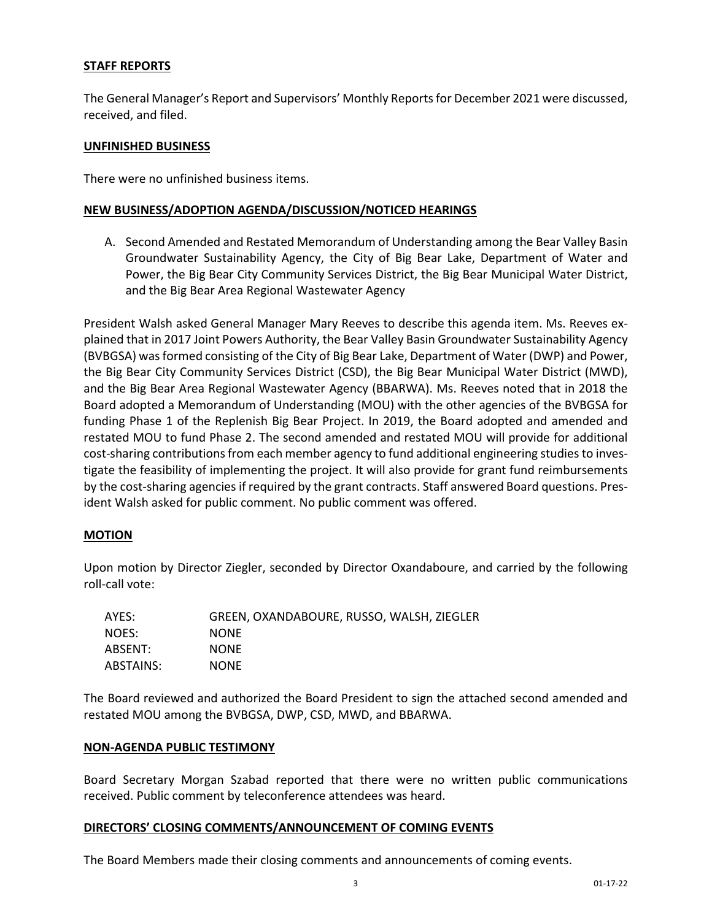## **STAFF REPORTS**

The General Manager's Report and Supervisors' Monthly Reports for December 2021 were discussed, received, and filed.

#### **UNFINISHED BUSINESS**

There were no unfinished business items.

#### **NEW BUSINESS/ADOPTION AGENDA/DISCUSSION/NOTICED HEARINGS**

A. Second Amended and Restated Memorandum of Understanding among the Bear Valley Basin Groundwater Sustainability Agency, the City of Big Bear Lake, Department of Water and Power, the Big Bear City Community Services District, the Big Bear Municipal Water District, and the Big Bear Area Regional Wastewater Agency

President Walsh asked General Manager Mary Reeves to describe this agenda item. Ms. Reeves explained that in 2017 Joint Powers Authority, the Bear Valley Basin Groundwater Sustainability Agency (BVBGSA) was formed consisting of the City of Big Bear Lake, Department of Water (DWP) and Power, the Big Bear City Community Services District (CSD), the Big Bear Municipal Water District (MWD), and the Big Bear Area Regional Wastewater Agency (BBARWA). Ms. Reeves noted that in 2018 the Board adopted a Memorandum of Understanding (MOU) with the other agencies of the BVBGSA for funding Phase 1 of the Replenish Big Bear Project. In 2019, the Board adopted and amended and restated MOU to fund Phase 2. The second amended and restated MOU will provide for additional cost-sharing contributions from each member agency to fund additional engineering studies to investigate the feasibility of implementing the project. It will also provide for grant fund reimbursements by the cost-sharing agencies if required by the grant contracts. Staff answered Board questions. President Walsh asked for public comment. No public comment was offered.

#### **MOTION**

Upon motion by Director Ziegler, seconded by Director Oxandaboure, and carried by the following roll-call vote:

| AYES:     | GREEN, OXANDABOURE, RUSSO, WALSH, ZIEGLER |
|-----------|-------------------------------------------|
| NOES:     | <b>NONE</b>                               |
| ABSENT:   | <b>NONE</b>                               |
| ABSTAINS: | <b>NONE</b>                               |

The Board reviewed and authorized the Board President to sign the attached second amended and restated MOU among the BVBGSA, DWP, CSD, MWD, and BBARWA.

#### **NON-AGENDA PUBLIC TESTIMONY**

Board Secretary Morgan Szabad reported that there were no written public communications received. Public comment by teleconference attendees was heard.

#### **DIRECTORS' CLOSING COMMENTS/ANNOUNCEMENT OF COMING EVENTS**

The Board Members made their closing comments and announcements of coming events.